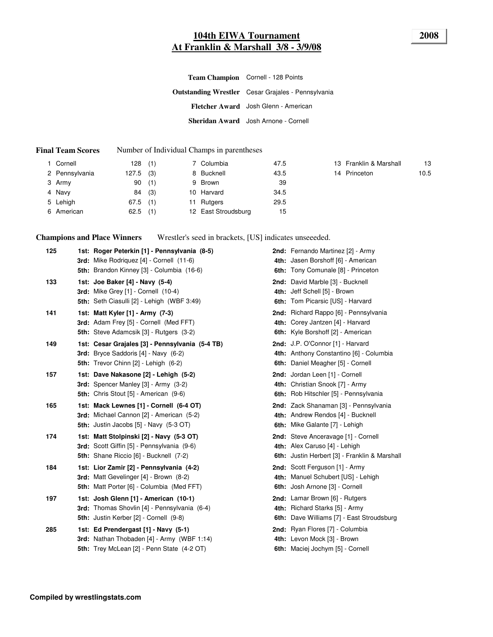#### **104th EIWA Tournament 2008 At Franklin & Marshall 3/8 - 3/9/08**

**Outstanding Wrestler** Cesar Grajales - Pennsylvania **Fletcher Award** Josh Glenn - American **Sheridan Award** Josh Arnone - Cornell **Team Champion** Cornell - 128 Points

#### **Final Team Scores** Number of Individual Champs in parentheses

| 1 Cornell      | 128        | (1) | 7 Columbia          | 47.5 | 13 Franklin & Marshall | 13   |
|----------------|------------|-----|---------------------|------|------------------------|------|
| 2 Pennsylvania | 127.5      | (3) | 8 Bucknell          | 43.5 | 14 Princeton           | 10.5 |
| 3 Army         | 90         | (1) | 9 Brown             | 39   |                        |      |
| 4 Navy         | 84         | (3) | 10 Harvard          | 34.5 |                        |      |
| 5 Lehigh       | $67.5$ (1) |     | 11 Rutgers          | 29.5 |                        |      |
| 6 American     | 62.5       | (1) | 12 East Stroudsburg | 15   |                        |      |

**Champions and Place Winners** Wrestler's seed in brackets, [US] indicates unseeeded.

| 125 | 1st: Roger Peterkin [1] - Pennsylvania (8-5)                                                                                     | <b>2nd:</b> Fernando Martinez [2] - Army                                                                              |
|-----|----------------------------------------------------------------------------------------------------------------------------------|-----------------------------------------------------------------------------------------------------------------------|
|     | <b>3rd:</b> Mike Rodriquez [4] - Cornell (11-6)<br>5th: Brandon Kinney [3] - Columbia (16-6)                                     | 4th: Jasen Borshoff [6] - American<br>6th: Tony Comunale [8] - Princeton                                              |
| 133 | 1st: Joe Baker [4] - Navy (5-4)<br><b>3rd:</b> Mike Grey [1] - Cornell (10-4)<br>5th: Seth Ciasulli [2] - Lehigh (WBF 3:49)      | 2nd: David Marble [3] - Bucknell<br>4th: Jeff Schell [5] - Brown<br>6th: Tom Picarsic [US] - Harvard                  |
| 141 | 1st: Matt Kyler [1] - Army (7-3)<br>3rd: Adam Frey [5] - Cornell (Med FFT)<br><b>5th:</b> Steve Adamcsik [3] - Rutgers (3-2)     | 2nd: Richard Rappo [6] - Pennsylvania<br>4th: Corey Jantzen [4] - Harvard<br>6th: Kyle Borshoff [2] - American        |
| 149 | 1st: Cesar Grajales [3] - Pennsylvania (5-4 TB)<br>3rd: Bryce Saddoris [4] - Navy (6-2)<br>5th: Trevor Chinn [2] - Lehigh (6-2)  | 2nd: J.P. O'Connor [1] - Harvard<br>4th: Anthony Constantino [6] - Columbia<br>6th: Daniel Meagher [5] - Cornell      |
| 157 | 1st: Dave Nakasone [2] - Lehigh (5-2)<br>3rd: Spencer Manley [3] - Army (3-2)<br>5th: Chris Stout [5] - American (9-6)           | 2nd: Jordan Leen [1] - Cornell<br>4th: Christian Snook [7] - Army<br>6th: Rob Hitschler [5] - Pennsylvania            |
| 165 | 1st: Mack Lewnes [1] - Cornell (6-4 OT)<br>3rd: Michael Cannon [2] - American (5-2)<br>5th: Justin Jacobs [5] - Navy (5-3 OT)    | 2nd: Zack Shanaman [3] - Pennsylvania<br>4th: Andrew Rendos [4] - Bucknell<br>6th: Mike Galante [7] - Lehigh          |
| 174 | 1st: Matt Stolpinski [2] - Navy (5-3 OT)<br>3rd: Scott Giffin [5] - Pennsylvania (9-6)<br>5th: Shane Riccio [6] - Bucknell (7-2) | 2nd: Steve Anceravage [1] - Cornell<br>4th: Alex Caruso [4] - Lehigh<br>6th: Justin Herbert [3] - Franklin & Marshall |
| 184 | 1st: Lior Zamir [2] - Pennsylvania (4-2)<br>3rd: Matt Gevelinger [4] - Brown (8-2)<br>5th: Matt Porter [6] - Columbia (Med FFT)  | 2nd: Scott Ferguson [1] - Army<br>4th: Manuel Schubert [US] - Lehigh<br>6th: Josh Arnone [3] - Cornell                |
| 197 | 1st: Josh Glenn [1] - American (10-1)<br>3rd: Thomas Shovlin [4] - Pennsylvania (6-4)<br>5th: Justin Kerber [2] - Cornell (9-8)  | 2nd: Lamar Brown [6] - Rutgers<br>4th: Richard Starks [5] - Army<br>6th: Dave Williams [7] - East Stroudsburg         |
| 285 | 1st: Ed Prendergast [1] - Navy (5-1)<br>3rd: Nathan Thobaden [4] - Army (WBF 1:14)<br>5th: Trey McLean [2] - Penn State (4-2 OT) | 2nd: Ryan Flores [7] - Columbia<br>4th: Levon Mock [3] - Brown<br>6th: Maciej Jochym [5] - Cornell                    |
|     |                                                                                                                                  |                                                                                                                       |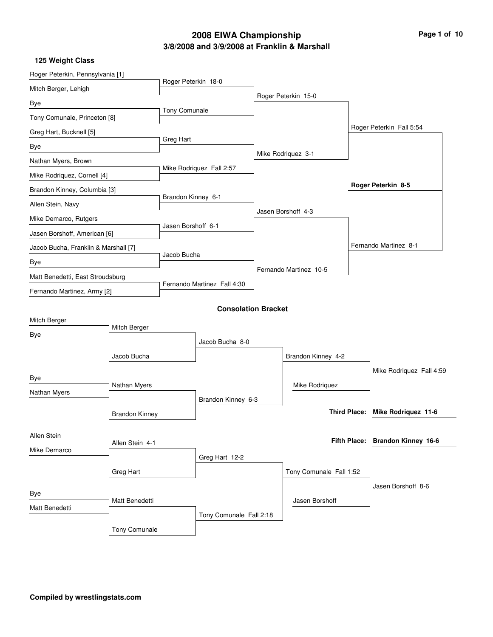## **3/8/2008 and 3/9/2008 at Franklin & Marshall 2008 EIWA Championship Page 1 of 10**

|  |  |  | 125 Weight Class |
|--|--|--|------------------|
|--|--|--|------------------|

| Roger Peterkin 18-0<br>Roger Peterkin 15-0<br>Tony Comunale<br>Tony Comunale, Princeton [8]<br>Roger Peterkin Fall 5:54<br>Greg Hart<br>Mike Rodriquez 3-1<br>Mike Rodriquez Fall 2:57<br>Roger Peterkin 8-5<br>Brandon Kinney 6-1<br>Jasen Borshoff 4-3<br>Jasen Borshoff 6-1<br>Jasen Borshoff, American [6]<br>Fernando Martinez 8-1<br>Jacob Bucha, Franklin & Marshall [7]<br>Jacob Bucha<br>Fernando Martinez 10-5<br>Matt Benedetti, East Stroudsburg<br>Fernando Martinez Fall 4:30<br>Fernando Martinez, Army [2]<br><b>Consolation Bracket</b><br>Mitch Berger<br>Jacob Bucha 8-0<br>Jacob Bucha<br>Brandon Kinney 4-2<br>Mike Rodriquez Fall 4:59<br>Nathan Myers<br>Mike Rodriquez<br>Brandon Kinney 6-3<br>Third Place: Mike Rodriquez 11-6<br><b>Brandon Kinney</b><br>Fifth Place: Brandon Kinney 16-6<br>Allen Stein 4-1<br>Greg Hart 12-2<br>Tony Comunale Fall 1:52<br>Greg Hart<br>Jasen Borshoff 8-6 | Roger Peterkin, Pennsylvania [1] |  |  |  |  |  |  |
|--------------------------------------------------------------------------------------------------------------------------------------------------------------------------------------------------------------------------------------------------------------------------------------------------------------------------------------------------------------------------------------------------------------------------------------------------------------------------------------------------------------------------------------------------------------------------------------------------------------------------------------------------------------------------------------------------------------------------------------------------------------------------------------------------------------------------------------------------------------------------------------------------------------------------|----------------------------------|--|--|--|--|--|--|
|                                                                                                                                                                                                                                                                                                                                                                                                                                                                                                                                                                                                                                                                                                                                                                                                                                                                                                                          | Mitch Berger, Lehigh             |  |  |  |  |  |  |
|                                                                                                                                                                                                                                                                                                                                                                                                                                                                                                                                                                                                                                                                                                                                                                                                                                                                                                                          | Bye                              |  |  |  |  |  |  |
|                                                                                                                                                                                                                                                                                                                                                                                                                                                                                                                                                                                                                                                                                                                                                                                                                                                                                                                          |                                  |  |  |  |  |  |  |
|                                                                                                                                                                                                                                                                                                                                                                                                                                                                                                                                                                                                                                                                                                                                                                                                                                                                                                                          | Greg Hart, Bucknell [5]          |  |  |  |  |  |  |
|                                                                                                                                                                                                                                                                                                                                                                                                                                                                                                                                                                                                                                                                                                                                                                                                                                                                                                                          | Bye                              |  |  |  |  |  |  |
|                                                                                                                                                                                                                                                                                                                                                                                                                                                                                                                                                                                                                                                                                                                                                                                                                                                                                                                          | Nathan Myers, Brown              |  |  |  |  |  |  |
|                                                                                                                                                                                                                                                                                                                                                                                                                                                                                                                                                                                                                                                                                                                                                                                                                                                                                                                          | Mike Rodriquez, Cornell [4]      |  |  |  |  |  |  |
|                                                                                                                                                                                                                                                                                                                                                                                                                                                                                                                                                                                                                                                                                                                                                                                                                                                                                                                          | Brandon Kinney, Columbia [3]     |  |  |  |  |  |  |
|                                                                                                                                                                                                                                                                                                                                                                                                                                                                                                                                                                                                                                                                                                                                                                                                                                                                                                                          | Allen Stein, Navy                |  |  |  |  |  |  |
|                                                                                                                                                                                                                                                                                                                                                                                                                                                                                                                                                                                                                                                                                                                                                                                                                                                                                                                          | Mike Demarco, Rutgers            |  |  |  |  |  |  |
|                                                                                                                                                                                                                                                                                                                                                                                                                                                                                                                                                                                                                                                                                                                                                                                                                                                                                                                          |                                  |  |  |  |  |  |  |
|                                                                                                                                                                                                                                                                                                                                                                                                                                                                                                                                                                                                                                                                                                                                                                                                                                                                                                                          |                                  |  |  |  |  |  |  |
|                                                                                                                                                                                                                                                                                                                                                                                                                                                                                                                                                                                                                                                                                                                                                                                                                                                                                                                          | Bye                              |  |  |  |  |  |  |
|                                                                                                                                                                                                                                                                                                                                                                                                                                                                                                                                                                                                                                                                                                                                                                                                                                                                                                                          |                                  |  |  |  |  |  |  |
|                                                                                                                                                                                                                                                                                                                                                                                                                                                                                                                                                                                                                                                                                                                                                                                                                                                                                                                          |                                  |  |  |  |  |  |  |
|                                                                                                                                                                                                                                                                                                                                                                                                                                                                                                                                                                                                                                                                                                                                                                                                                                                                                                                          |                                  |  |  |  |  |  |  |
|                                                                                                                                                                                                                                                                                                                                                                                                                                                                                                                                                                                                                                                                                                                                                                                                                                                                                                                          | Mitch Berger                     |  |  |  |  |  |  |
|                                                                                                                                                                                                                                                                                                                                                                                                                                                                                                                                                                                                                                                                                                                                                                                                                                                                                                                          | Bye                              |  |  |  |  |  |  |
|                                                                                                                                                                                                                                                                                                                                                                                                                                                                                                                                                                                                                                                                                                                                                                                                                                                                                                                          |                                  |  |  |  |  |  |  |
|                                                                                                                                                                                                                                                                                                                                                                                                                                                                                                                                                                                                                                                                                                                                                                                                                                                                                                                          |                                  |  |  |  |  |  |  |
|                                                                                                                                                                                                                                                                                                                                                                                                                                                                                                                                                                                                                                                                                                                                                                                                                                                                                                                          | Bye                              |  |  |  |  |  |  |
|                                                                                                                                                                                                                                                                                                                                                                                                                                                                                                                                                                                                                                                                                                                                                                                                                                                                                                                          | Nathan Myers                     |  |  |  |  |  |  |
|                                                                                                                                                                                                                                                                                                                                                                                                                                                                                                                                                                                                                                                                                                                                                                                                                                                                                                                          |                                  |  |  |  |  |  |  |
|                                                                                                                                                                                                                                                                                                                                                                                                                                                                                                                                                                                                                                                                                                                                                                                                                                                                                                                          |                                  |  |  |  |  |  |  |
|                                                                                                                                                                                                                                                                                                                                                                                                                                                                                                                                                                                                                                                                                                                                                                                                                                                                                                                          | Allen Stein                      |  |  |  |  |  |  |
|                                                                                                                                                                                                                                                                                                                                                                                                                                                                                                                                                                                                                                                                                                                                                                                                                                                                                                                          | Mike Demarco                     |  |  |  |  |  |  |
|                                                                                                                                                                                                                                                                                                                                                                                                                                                                                                                                                                                                                                                                                                                                                                                                                                                                                                                          |                                  |  |  |  |  |  |  |
|                                                                                                                                                                                                                                                                                                                                                                                                                                                                                                                                                                                                                                                                                                                                                                                                                                                                                                                          |                                  |  |  |  |  |  |  |
| Jasen Borshoff<br>Matt Benedetti                                                                                                                                                                                                                                                                                                                                                                                                                                                                                                                                                                                                                                                                                                                                                                                                                                                                                         | Bye                              |  |  |  |  |  |  |
| Tony Comunale Fall 2:18                                                                                                                                                                                                                                                                                                                                                                                                                                                                                                                                                                                                                                                                                                                                                                                                                                                                                                  | Matt Benedetti                   |  |  |  |  |  |  |
| <b>Tony Comunale</b>                                                                                                                                                                                                                                                                                                                                                                                                                                                                                                                                                                                                                                                                                                                                                                                                                                                                                                     |                                  |  |  |  |  |  |  |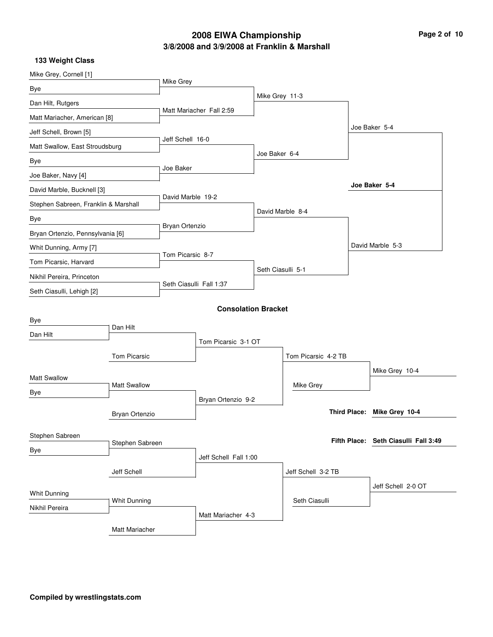### **3/8/2008 and 3/9/2008 at Franklin & Marshall 2008 EIWA Championship Page 2 of 10**

| Bye<br>Mike Grey 11-3<br>Dan Hilt, Rutgers<br>Matt Mariacher Fall 2:59<br>Matt Mariacher, American [8]<br>Joe Baker 5-4<br>Jeff Schell, Brown [5]<br>Jeff Schell 16-0<br>Matt Swallow, East Stroudsburg<br>Joe Baker 6-4<br>Bye<br>Joe Baker<br>Joe Baker, Navy [4]<br>Joe Baker 5-4<br>David Marble, Bucknell [3]<br>David Marble 19-2<br>Stephen Sabreen, Franklin & Marshall<br>David Marble 8-4<br>Bye<br>Bryan Ortenzio<br>Bryan Ortenzio, Pennsylvania [6]<br>David Marble 5-3<br>Whit Dunning, Army [7]<br>Tom Picarsic 8-7<br>Tom Picarsic, Harvard<br>Seth Ciasulli 5-1<br>Nikhil Pereira, Princeton<br>Seth Ciasulli Fall 1:37<br>Seth Ciasulli, Lehigh [2]<br><b>Consolation Bracket</b><br>Bye<br>Dan Hilt<br>Dan Hilt<br>Tom Picarsic 3-1 OT<br><b>Tom Picarsic</b><br>Tom Picarsic 4-2 TB<br>Mike Grey 10-4<br><b>Matt Swallow</b><br><b>Matt Swallow</b><br>Mike Grey<br>Bye<br>Bryan Ortenzio 9-2<br>Third Place: Mike Grey 10-4<br>Bryan Ortenzio<br>Stephen Sabreen<br>Fifth Place: Seth Ciasulli Fall 3:49<br>Stephen Sabreen<br>Bye<br>Jeff Schell Fall 1:00<br>Jeff Schell<br>Jeff Schell 3-2 TB<br>Jeff Schell 2-0 OT<br>Whit Dunning<br>Seth Ciasulli<br>Whit Dunning<br>Nikhil Pereira<br>Matt Mariacher 4-3 | Mike Grey, Cornell [1] |  |           |  |  |  |  |
|--------------------------------------------------------------------------------------------------------------------------------------------------------------------------------------------------------------------------------------------------------------------------------------------------------------------------------------------------------------------------------------------------------------------------------------------------------------------------------------------------------------------------------------------------------------------------------------------------------------------------------------------------------------------------------------------------------------------------------------------------------------------------------------------------------------------------------------------------------------------------------------------------------------------------------------------------------------------------------------------------------------------------------------------------------------------------------------------------------------------------------------------------------------------------------------------------------------------------------------|------------------------|--|-----------|--|--|--|--|
|                                                                                                                                                                                                                                                                                                                                                                                                                                                                                                                                                                                                                                                                                                                                                                                                                                                                                                                                                                                                                                                                                                                                                                                                                                      |                        |  | Mike Grey |  |  |  |  |
|                                                                                                                                                                                                                                                                                                                                                                                                                                                                                                                                                                                                                                                                                                                                                                                                                                                                                                                                                                                                                                                                                                                                                                                                                                      |                        |  |           |  |  |  |  |
|                                                                                                                                                                                                                                                                                                                                                                                                                                                                                                                                                                                                                                                                                                                                                                                                                                                                                                                                                                                                                                                                                                                                                                                                                                      |                        |  |           |  |  |  |  |
|                                                                                                                                                                                                                                                                                                                                                                                                                                                                                                                                                                                                                                                                                                                                                                                                                                                                                                                                                                                                                                                                                                                                                                                                                                      |                        |  |           |  |  |  |  |
|                                                                                                                                                                                                                                                                                                                                                                                                                                                                                                                                                                                                                                                                                                                                                                                                                                                                                                                                                                                                                                                                                                                                                                                                                                      |                        |  |           |  |  |  |  |
|                                                                                                                                                                                                                                                                                                                                                                                                                                                                                                                                                                                                                                                                                                                                                                                                                                                                                                                                                                                                                                                                                                                                                                                                                                      |                        |  |           |  |  |  |  |
|                                                                                                                                                                                                                                                                                                                                                                                                                                                                                                                                                                                                                                                                                                                                                                                                                                                                                                                                                                                                                                                                                                                                                                                                                                      |                        |  |           |  |  |  |  |
|                                                                                                                                                                                                                                                                                                                                                                                                                                                                                                                                                                                                                                                                                                                                                                                                                                                                                                                                                                                                                                                                                                                                                                                                                                      |                        |  |           |  |  |  |  |
|                                                                                                                                                                                                                                                                                                                                                                                                                                                                                                                                                                                                                                                                                                                                                                                                                                                                                                                                                                                                                                                                                                                                                                                                                                      |                        |  |           |  |  |  |  |
|                                                                                                                                                                                                                                                                                                                                                                                                                                                                                                                                                                                                                                                                                                                                                                                                                                                                                                                                                                                                                                                                                                                                                                                                                                      |                        |  |           |  |  |  |  |
|                                                                                                                                                                                                                                                                                                                                                                                                                                                                                                                                                                                                                                                                                                                                                                                                                                                                                                                                                                                                                                                                                                                                                                                                                                      |                        |  |           |  |  |  |  |
|                                                                                                                                                                                                                                                                                                                                                                                                                                                                                                                                                                                                                                                                                                                                                                                                                                                                                                                                                                                                                                                                                                                                                                                                                                      |                        |  |           |  |  |  |  |
|                                                                                                                                                                                                                                                                                                                                                                                                                                                                                                                                                                                                                                                                                                                                                                                                                                                                                                                                                                                                                                                                                                                                                                                                                                      |                        |  |           |  |  |  |  |
|                                                                                                                                                                                                                                                                                                                                                                                                                                                                                                                                                                                                                                                                                                                                                                                                                                                                                                                                                                                                                                                                                                                                                                                                                                      |                        |  |           |  |  |  |  |
|                                                                                                                                                                                                                                                                                                                                                                                                                                                                                                                                                                                                                                                                                                                                                                                                                                                                                                                                                                                                                                                                                                                                                                                                                                      |                        |  |           |  |  |  |  |
|                                                                                                                                                                                                                                                                                                                                                                                                                                                                                                                                                                                                                                                                                                                                                                                                                                                                                                                                                                                                                                                                                                                                                                                                                                      |                        |  |           |  |  |  |  |
|                                                                                                                                                                                                                                                                                                                                                                                                                                                                                                                                                                                                                                                                                                                                                                                                                                                                                                                                                                                                                                                                                                                                                                                                                                      |                        |  |           |  |  |  |  |
|                                                                                                                                                                                                                                                                                                                                                                                                                                                                                                                                                                                                                                                                                                                                                                                                                                                                                                                                                                                                                                                                                                                                                                                                                                      |                        |  |           |  |  |  |  |
|                                                                                                                                                                                                                                                                                                                                                                                                                                                                                                                                                                                                                                                                                                                                                                                                                                                                                                                                                                                                                                                                                                                                                                                                                                      |                        |  |           |  |  |  |  |
|                                                                                                                                                                                                                                                                                                                                                                                                                                                                                                                                                                                                                                                                                                                                                                                                                                                                                                                                                                                                                                                                                                                                                                                                                                      |                        |  |           |  |  |  |  |
|                                                                                                                                                                                                                                                                                                                                                                                                                                                                                                                                                                                                                                                                                                                                                                                                                                                                                                                                                                                                                                                                                                                                                                                                                                      |                        |  |           |  |  |  |  |
|                                                                                                                                                                                                                                                                                                                                                                                                                                                                                                                                                                                                                                                                                                                                                                                                                                                                                                                                                                                                                                                                                                                                                                                                                                      |                        |  |           |  |  |  |  |
|                                                                                                                                                                                                                                                                                                                                                                                                                                                                                                                                                                                                                                                                                                                                                                                                                                                                                                                                                                                                                                                                                                                                                                                                                                      |                        |  |           |  |  |  |  |
|                                                                                                                                                                                                                                                                                                                                                                                                                                                                                                                                                                                                                                                                                                                                                                                                                                                                                                                                                                                                                                                                                                                                                                                                                                      |                        |  |           |  |  |  |  |
|                                                                                                                                                                                                                                                                                                                                                                                                                                                                                                                                                                                                                                                                                                                                                                                                                                                                                                                                                                                                                                                                                                                                                                                                                                      |                        |  |           |  |  |  |  |
|                                                                                                                                                                                                                                                                                                                                                                                                                                                                                                                                                                                                                                                                                                                                                                                                                                                                                                                                                                                                                                                                                                                                                                                                                                      |                        |  |           |  |  |  |  |
|                                                                                                                                                                                                                                                                                                                                                                                                                                                                                                                                                                                                                                                                                                                                                                                                                                                                                                                                                                                                                                                                                                                                                                                                                                      |                        |  |           |  |  |  |  |
|                                                                                                                                                                                                                                                                                                                                                                                                                                                                                                                                                                                                                                                                                                                                                                                                                                                                                                                                                                                                                                                                                                                                                                                                                                      |                        |  |           |  |  |  |  |
|                                                                                                                                                                                                                                                                                                                                                                                                                                                                                                                                                                                                                                                                                                                                                                                                                                                                                                                                                                                                                                                                                                                                                                                                                                      |                        |  |           |  |  |  |  |
|                                                                                                                                                                                                                                                                                                                                                                                                                                                                                                                                                                                                                                                                                                                                                                                                                                                                                                                                                                                                                                                                                                                                                                                                                                      |                        |  |           |  |  |  |  |
| Matt Mariacher                                                                                                                                                                                                                                                                                                                                                                                                                                                                                                                                                                                                                                                                                                                                                                                                                                                                                                                                                                                                                                                                                                                                                                                                                       |                        |  |           |  |  |  |  |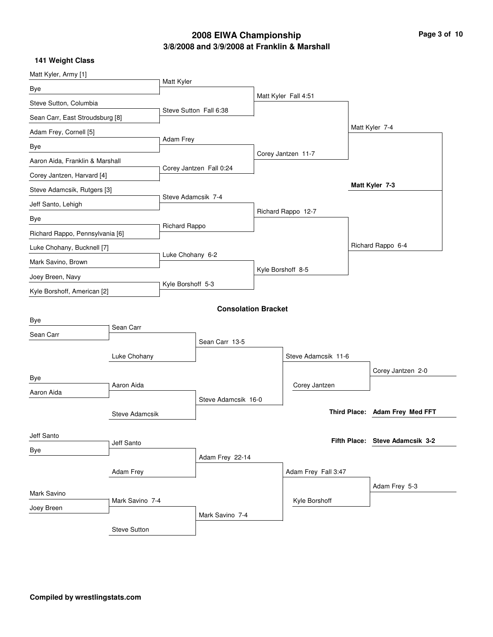### **3/8/2008 and 3/9/2008 at Franklin & Marshall 2008 EIWA Championship Page 3 of 10**

| Matt Kyler, Army [1]            |                 |                         |                            |                      |  |                                 |
|---------------------------------|-----------------|-------------------------|----------------------------|----------------------|--|---------------------------------|
| Bye                             |                 | Matt Kyler              |                            |                      |  |                                 |
| Steve Sutton, Columbia          |                 |                         |                            | Matt Kyler Fall 4:51 |  |                                 |
| Sean Carr, East Stroudsburg [8] |                 |                         | Steve Sutton Fall 6:38     |                      |  |                                 |
| Adam Frey, Cornell [5]          |                 |                         |                            |                      |  | Matt Kyler 7-4                  |
| Bye                             |                 | Adam Frey               |                            |                      |  |                                 |
| Aaron Aida, Franklin & Marshall |                 | Corey Jantzen Fall 0:24 |                            | Corey Jantzen 11-7   |  |                                 |
| Corey Jantzen, Harvard [4]      |                 |                         |                            |                      |  |                                 |
| Steve Adamcsik, Rutgers [3]     |                 | Steve Adamcsik 7-4      |                            |                      |  | Matt Kyler 7-3                  |
| Jeff Santo, Lehigh              |                 |                         |                            | Richard Rappo 12-7   |  |                                 |
| Bye                             |                 | Richard Rappo           |                            |                      |  |                                 |
| Richard Rappo, Pennsylvania [6] |                 |                         |                            |                      |  |                                 |
| Luke Chohany, Bucknell [7]      |                 | Luke Chohany 6-2        |                            |                      |  | Richard Rappo 6-4               |
| Mark Savino, Brown              |                 |                         | Kyle Borshoff 8-5          |                      |  |                                 |
| Joey Breen, Navy                |                 | Kyle Borshoff 5-3       |                            |                      |  |                                 |
| Kyle Borshoff, American [2]     |                 |                         |                            |                      |  |                                 |
|                                 |                 |                         | <b>Consolation Bracket</b> |                      |  |                                 |
| Bye                             | Sean Carr       |                         |                            |                      |  |                                 |
| Sean Carr                       |                 |                         | Sean Carr 13-5             |                      |  |                                 |
|                                 | Luke Chohany    |                         |                            | Steve Adamcsik 11-6  |  |                                 |
|                                 |                 |                         |                            |                      |  | Corey Jantzen 2-0               |
| Bye                             | Aaron Aida      |                         |                            | Corey Jantzen        |  |                                 |
| Aaron Aida                      |                 |                         | Steve Adamcsik 16-0        |                      |  |                                 |
|                                 | Steve Adamcsik  |                         |                            |                      |  | Third Place: Adam Frey Med FFT  |
|                                 |                 |                         |                            |                      |  |                                 |
| Jeff Santo                      | Jeff Santo      |                         |                            |                      |  | Fifth Place: Steve Adamcsik 3-2 |
| Bye                             |                 |                         | Adam Frey 22-14            |                      |  |                                 |
| Adam Frey                       |                 |                         | Adam Frey Fall 3:47        |                      |  |                                 |
|                                 |                 |                         |                            |                      |  | Adam Frey 5-3                   |
| Mark Savino                     | Mark Savino 7-4 |                         |                            | Kyle Borshoff        |  |                                 |
| Joey Breen                      |                 |                         | Mark Savino 7-4            |                      |  |                                 |
|                                 | Steve Sutton    |                         |                            |                      |  |                                 |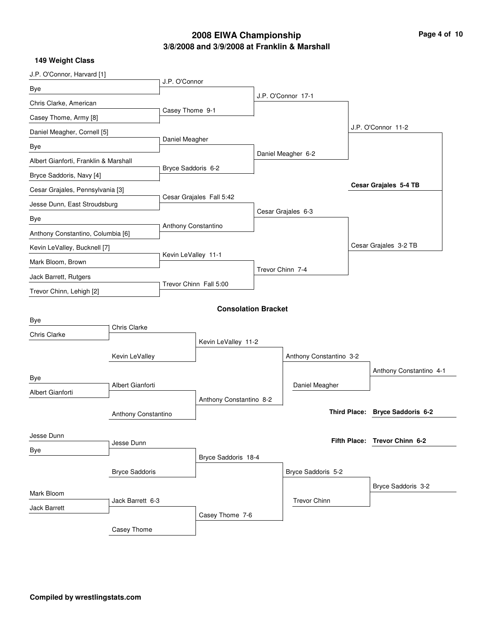# **3/8/2008 and 3/9/2008 at Franklin & Marshall 2008 EIWA Championship Page 4 of 10**

| J.P. O'Connor, Harvard [1]              |                     |                                         |                            |  |                         |                       |                                 |
|-----------------------------------------|---------------------|-----------------------------------------|----------------------------|--|-------------------------|-----------------------|---------------------------------|
| Bye                                     |                     | J.P. O'Connor                           |                            |  |                         |                       |                                 |
| Chris Clarke, American                  |                     |                                         |                            |  | J.P. O'Connor 17-1      |                       |                                 |
| Casey Thome, Army [8]                   |                     | Casey Thome 9-1                         |                            |  |                         |                       |                                 |
| Daniel Meagher, Cornell [5]             |                     |                                         |                            |  |                         |                       | J.P. O'Connor 11-2              |
| Bye                                     |                     | Daniel Meagher                          |                            |  |                         |                       |                                 |
| Albert Gianforti, Franklin & Marshall   |                     | Bryce Saddoris 6-2                      |                            |  | Daniel Meagher 6-2      |                       |                                 |
| Bryce Saddoris, Navy [4]                |                     |                                         |                            |  |                         |                       |                                 |
| Cesar Grajales, Pennsylvania [3]        |                     |                                         |                            |  |                         |                       | Cesar Grajales 5-4 TB           |
| Jesse Dunn, East Stroudsburg            |                     |                                         | Cesar Grajales Fall 5:42   |  |                         |                       |                                 |
| Bye                                     |                     |                                         |                            |  | Cesar Grajales 6-3      |                       |                                 |
| Anthony Constantino, Columbia [6]       |                     | Anthony Constantino                     |                            |  |                         |                       |                                 |
| Kevin LeValley, Bucknell [7]            |                     |                                         |                            |  |                         | Cesar Grajales 3-2 TB |                                 |
| Mark Bloom, Brown                       |                     | Kevin LeValley 11-1<br>Trevor Chinn 7-4 |                            |  |                         |                       |                                 |
| Jack Barrett, Rutgers                   |                     |                                         |                            |  |                         |                       |                                 |
| Trevor Chinn, Lehigh [2]                |                     |                                         | Trevor Chinn Fall 5:00     |  |                         |                       |                                 |
|                                         |                     |                                         | <b>Consolation Bracket</b> |  |                         |                       |                                 |
| Bye                                     |                     |                                         |                            |  |                         |                       |                                 |
| Chris Clarke                            | Chris Clarke        |                                         |                            |  |                         |                       |                                 |
|                                         |                     | Kevin LeValley 11-2                     |                            |  | Anthony Constantino 3-2 |                       |                                 |
|                                         | Kevin LeValley      |                                         |                            |  |                         |                       |                                 |
| Bye                                     |                     |                                         |                            |  |                         |                       | Anthony Constantino 4-1         |
| Albert Gianforti                        | Albert Gianforti    |                                         |                            |  | Daniel Meagher          |                       |                                 |
|                                         |                     |                                         | Anthony Constantino 8-2    |  |                         |                       | Third Place: Bryce Saddoris 6-2 |
|                                         | Anthony Constantino |                                         |                            |  |                         |                       |                                 |
| Jesse Dunn                              | Jesse Dunn          |                                         |                            |  |                         |                       | Fifth Place: Trevor Chinn 6-2   |
| Bye                                     |                     |                                         | Bryce Saddoris 18-4        |  |                         |                       |                                 |
| <b>Bryce Saddoris</b>                   |                     |                                         |                            |  | Bryce Saddoris 5-2      |                       |                                 |
|                                         |                     |                                         |                            |  |                         | Bryce Saddoris 3-2    |                                 |
| Mark Bloom                              |                     |                                         |                            |  |                         |                       |                                 |
| Jack Barrett 6-3<br><b>Jack Barrett</b> |                     |                                         |                            |  | <b>Trevor Chinn</b>     |                       |                                 |
|                                         |                     |                                         | Casey Thome 7-6            |  |                         |                       |                                 |
|                                         | Casey Thome         |                                         |                            |  |                         |                       |                                 |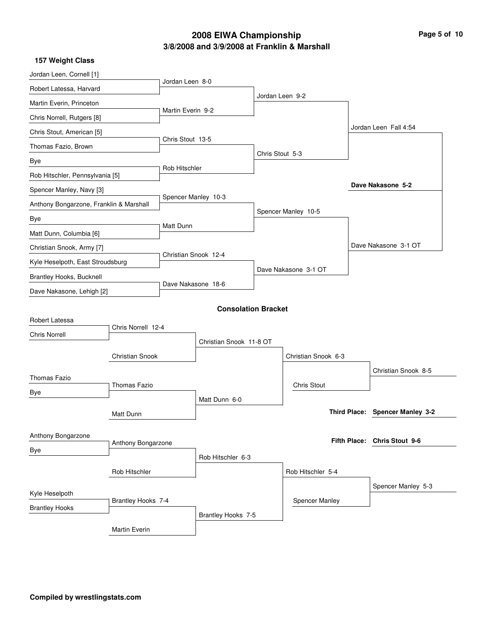### **3/8/2008 and 3/9/2008 at Franklin & Marshall 2008 EIWA Championship Page 5 of 10**

| 157 Weight Class                        |                        |                      |                            |                 |                       |                                 |
|-----------------------------------------|------------------------|----------------------|----------------------------|-----------------|-----------------------|---------------------------------|
| Jordan Leen, Cornell [1]                |                        |                      |                            |                 |                       |                                 |
| Robert Latessa, Harvard                 |                        | Jordan Leen 8-0      |                            |                 |                       |                                 |
| Martin Everin, Princeton                |                        |                      |                            |                 | Jordan Leen 9-2       |                                 |
| Chris Norrell, Rutgers [8]              |                        | Martin Everin 9-2    |                            |                 |                       |                                 |
| Chris Stout, American [5]               |                        |                      |                            |                 |                       | Jordan Leen Fall 4:54           |
| Thomas Fazio, Brown                     |                        | Chris Stout 13-5     |                            |                 |                       |                                 |
| Bye                                     |                        |                      |                            | Chris Stout 5-3 |                       |                                 |
| Rob Hitschler, Pennsylvania [5]         |                        | Rob Hitschler        |                            |                 |                       |                                 |
| Spencer Manley, Navy [3]                |                        |                      |                            |                 |                       | Dave Nakasone 5-2               |
| Anthony Bongarzone, Franklin & Marshall |                        |                      | Spencer Manley 10-3        |                 |                       |                                 |
| Bye                                     |                        |                      |                            |                 | Spencer Manley 10-5   |                                 |
| Matt Dunn, Columbia [6]                 |                        | Matt Dunn            |                            |                 |                       |                                 |
| Christian Snook, Army [7]               |                        |                      |                            |                 |                       | Dave Nakasone 3-1 OT            |
| Kyle Heselpoth, East Stroudsburg        |                        | Christian Snook 12-4 |                            |                 |                       |                                 |
| Brantley Hooks, Bucknell                |                        |                      |                            |                 | Dave Nakasone 3-1 OT  |                                 |
| Dave Nakasone, Lehigh [2]               |                        |                      | Dave Nakasone 18-6         |                 |                       |                                 |
|                                         |                        |                      | <b>Consolation Bracket</b> |                 |                       |                                 |
| Robert Latessa                          |                        |                      |                            |                 |                       |                                 |
| <b>Chris Norrell</b>                    | Chris Norrell 12-4     |                      |                            |                 |                       |                                 |
|                                         |                        |                      | Christian Snook 11-8 OT    |                 |                       |                                 |
|                                         | <b>Christian Snook</b> |                      |                            |                 | Christian Snook 6-3   |                                 |
| <b>Thomas Fazio</b>                     |                        |                      |                            |                 |                       | Christian Snook 8-5             |
| Bye                                     | Thomas Fazio           |                      |                            |                 | <b>Chris Stout</b>    |                                 |
|                                         |                        |                      | Matt Dunn 6-0              |                 |                       |                                 |
|                                         | Matt Dunn              |                      |                            |                 |                       | Third Place: Spencer Manley 3-2 |
|                                         |                        |                      |                            |                 |                       |                                 |
| Anthony Bongarzone                      | Anthony Bongarzone     |                      |                            |                 |                       | Fifth Place: Chris Stout 9-6    |
| Bye                                     |                        |                      | Rob Hitschler 6-3          |                 |                       |                                 |
|                                         | Rob Hitschler          |                      |                            |                 | Rob Hitschler 5-4     |                                 |
|                                         |                        |                      |                            |                 |                       | Spencer Manley 5-3              |
| Kyle Heselpoth                          | Brantley Hooks 7-4     |                      |                            |                 | <b>Spencer Manley</b> |                                 |
| <b>Brantley Hooks</b>                   |                        |                      | Brantley Hooks 7-5         |                 |                       |                                 |
|                                         | Martin Everin          |                      |                            |                 |                       |                                 |
|                                         |                        |                      |                            |                 |                       |                                 |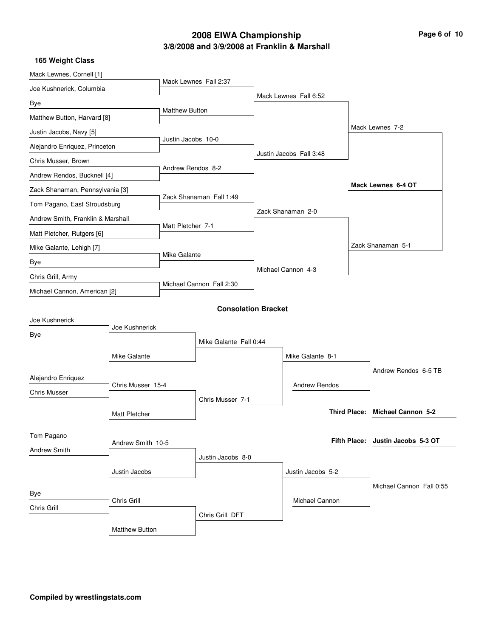## **3/8/2008 and 3/9/2008 at Franklin & Marshall 2008 EIWA Championship Page 6 of 10**

|  | 165 Weight Class |  |
|--|------------------|--|
|--|------------------|--|

| Mack Lewnes, Cornell [1]                 |                      |                          |                            |  |                         |  |                                   |
|------------------------------------------|----------------------|--------------------------|----------------------------|--|-------------------------|--|-----------------------------------|
| Joe Kushnerick, Columbia                 |                      |                          | Mack Lewnes Fall 2:37      |  |                         |  |                                   |
| Bye                                      |                      |                          |                            |  | Mack Lewnes Fall 6:52   |  |                                   |
| Matthew Button, Harvard [8]              |                      | <b>Matthew Button</b>    |                            |  |                         |  |                                   |
| Justin Jacobs, Navy [5]                  |                      |                          |                            |  |                         |  | Mack Lewnes 7-2                   |
| Alejandro Enriquez, Princeton            |                      | Justin Jacobs 10-0       |                            |  |                         |  |                                   |
| Chris Musser, Brown                      |                      |                          |                            |  | Justin Jacobs Fall 3:48 |  |                                   |
| Andrew Rendos, Bucknell [4]              |                      | Andrew Rendos 8-2        |                            |  |                         |  |                                   |
| Zack Shanaman, Pennsylvania [3]          |                      |                          |                            |  |                         |  | Mack Lewnes 6-4 OT                |
| Tom Pagano, East Stroudsburg             |                      |                          | Zack Shanaman Fall 1:49    |  |                         |  |                                   |
| Andrew Smith, Franklin & Marshall        |                      |                          |                            |  | Zack Shanaman 2-0       |  |                                   |
| Matt Pletcher, Rutgers [6]               |                      | Matt Pletcher 7-1        |                            |  |                         |  |                                   |
| Mike Galante, Lehigh [7]                 |                      |                          |                            |  |                         |  | Zack Shanaman 5-1                 |
| Bye                                      |                      |                          | Mike Galante               |  |                         |  |                                   |
| Chris Grill, Army                        |                      | Michael Cannon Fall 2:30 |                            |  | Michael Cannon 4-3      |  |                                   |
| Michael Cannon, American [2]             |                      |                          |                            |  |                         |  |                                   |
|                                          |                      |                          | <b>Consolation Bracket</b> |  |                         |  |                                   |
| Joe Kushnerick                           |                      |                          |                            |  |                         |  |                                   |
| Bye                                      | Joe Kushnerick       |                          |                            |  |                         |  |                                   |
|                                          |                      |                          | Mike Galante Fall 0:44     |  |                         |  |                                   |
|                                          | Mike Galante         |                          |                            |  | Mike Galante 8-1        |  |                                   |
| Alejandro Enriquez                       |                      |                          |                            |  |                         |  | Andrew Rendos 6-5 TB              |
| <b>Chris Musser</b>                      | Chris Musser 15-4    |                          |                            |  | <b>Andrew Rendos</b>    |  |                                   |
|                                          |                      |                          | Chris Musser 7-1           |  |                         |  |                                   |
|                                          | <b>Matt Pletcher</b> |                          |                            |  |                         |  | Third Place: Michael Cannon 5-2   |
| Tom Pagano                               |                      |                          |                            |  |                         |  |                                   |
| Andrew Smith 10-5<br><b>Andrew Smith</b> |                      |                          |                            |  |                         |  | Fifth Place: Justin Jacobs 5-3 OT |
|                                          |                      |                          | Justin Jacobs 8-0          |  |                         |  |                                   |
|                                          | Justin Jacobs        |                          |                            |  | Justin Jacobs 5-2       |  |                                   |
| Bye                                      |                      |                          |                            |  |                         |  | Michael Cannon Fall 0:55          |
| Chris Grill<br>Chris Grill               |                      |                          |                            |  | Michael Cannon          |  |                                   |
|                                          |                      |                          | Chris Grill DFT            |  |                         |  |                                   |
|                                          | Matthew Button       |                          |                            |  |                         |  |                                   |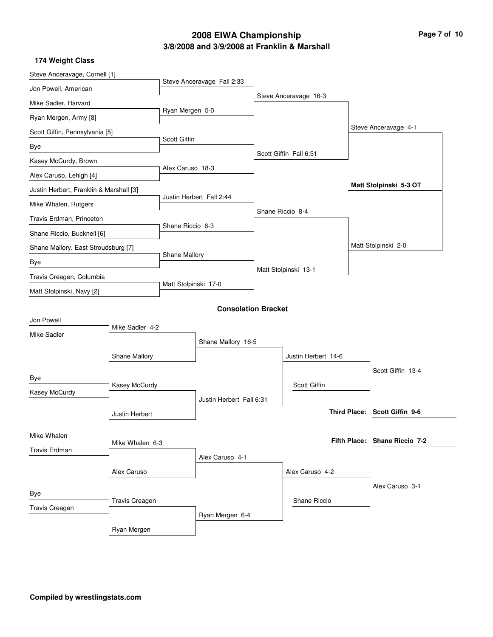## **3/8/2008 and 3/9/2008 at Franklin & Marshall 2008 EIWA Championship Page 7 of 10**

| Steve Anceravage, Cornell [1]                  |                  |                      |                            |                 |                        |                               |
|------------------------------------------------|------------------|----------------------|----------------------------|-----------------|------------------------|-------------------------------|
| Jon Powell, American                           |                  |                      | Steve Anceravage Fall 2:33 |                 |                        |                               |
| Mike Sadler, Harvard                           |                  |                      |                            |                 | Steve Anceravage 16-3  |                               |
| Ryan Mergen, Army [8]                          |                  | Ryan Mergen 5-0      |                            |                 |                        |                               |
| Scott Giffin, Pennsylvania [5]                 |                  |                      |                            |                 |                        | Steve Anceravage 4-1          |
| Bye                                            |                  | <b>Scott Giffin</b>  |                            |                 |                        |                               |
| Kasey McCurdy, Brown                           |                  | Alex Caruso 18-3     |                            |                 | Scott Giffin Fall 6:51 |                               |
| Alex Caruso, Lehigh [4]                        |                  |                      |                            |                 |                        |                               |
| Justin Herbert, Franklin & Marshall [3]        |                  |                      |                            |                 |                        | Matt Stolpinski 5-3 OT        |
| Mike Whalen, Rutgers                           |                  |                      | Justin Herbert Fall 2:44   |                 |                        |                               |
| Travis Erdman, Princeton                       |                  |                      |                            |                 | Shane Riccio 8-4       |                               |
| Shane Riccio, Bucknell [6]                     | Shane Riccio 6-3 |                      |                            |                 |                        |                               |
| Shane Mallory, East Stroudsburg [7]            |                  |                      |                            |                 |                        | Matt Stolpinski 2-0           |
| Bye                                            | Shane Mallory    |                      |                            |                 |                        |                               |
| Travis Creagen, Columbia                       |                  |                      |                            |                 | Matt Stolpinski 13-1   |                               |
| Matt Stolpinski, Navy [2]                      |                  | Matt Stolpinski 17-0 |                            |                 |                        |                               |
|                                                |                  |                      | <b>Consolation Bracket</b> |                 |                        |                               |
| Jon Powell                                     |                  |                      |                            |                 |                        |                               |
| Mike Sadler                                    | Mike Sadler 4-2  |                      |                            |                 |                        |                               |
|                                                |                  |                      | Shane Mallory 16-5         |                 |                        |                               |
|                                                | Shane Mallory    |                      |                            |                 | Justin Herbert 14-6    |                               |
| Bye                                            |                  |                      |                            |                 |                        | Scott Giffin 13-4             |
| Kasey McCurdy                                  | Kasey McCurdy    |                      |                            |                 | Scott Giffin           |                               |
|                                                |                  |                      | Justin Herbert Fall 6:31   |                 |                        |                               |
|                                                | Justin Herbert   |                      |                            |                 |                        | Third Place: Scott Giffin 9-6 |
| Mike Whalen                                    |                  |                      |                            |                 |                        |                               |
| <b>Travis Erdman</b>                           | Mike Whalen 6-3  |                      |                            |                 |                        | Fifth Place: Shane Riccio 7-2 |
|                                                |                  |                      | Alex Caruso 4-1            |                 |                        |                               |
|                                                |                  |                      |                            | Alex Caruso 4-2 |                        |                               |
| Bye                                            |                  |                      |                            |                 |                        | Alex Caruso 3-1               |
| <b>Travis Creagen</b><br><b>Travis Creagen</b> |                  |                      |                            |                 | Shane Riccio           |                               |
|                                                |                  |                      | Ryan Mergen 6-4            |                 |                        |                               |
|                                                | Ryan Mergen      |                      |                            |                 |                        |                               |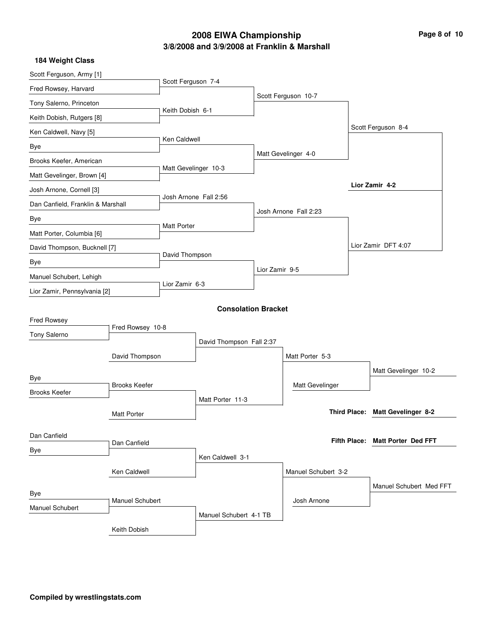### **3/8/2008 and 3/9/2008 at Franklin & Marshall 2008 EIWA Championship Page 8 of 10**

| <b>184 Weight Class</b>           |                              |                      |                            |                |                       |  |                                  |
|-----------------------------------|------------------------------|----------------------|----------------------------|----------------|-----------------------|--|----------------------------------|
| Scott Ferguson, Army [1]          |                              |                      |                            |                |                       |  |                                  |
| Fred Rowsey, Harvard              |                              | Scott Ferguson 7-4   |                            |                |                       |  |                                  |
| Tony Salerno, Princeton           |                              |                      |                            |                | Scott Ferguson 10-7   |  |                                  |
| Keith Dobish, Rutgers [8]         |                              | Keith Dobish 6-1     |                            |                |                       |  |                                  |
| Ken Caldwell, Navy [5]            |                              |                      |                            |                |                       |  | Scott Ferguson 8-4               |
| Bye                               |                              | Ken Caldwell         |                            |                |                       |  |                                  |
| Brooks Keefer, American           |                              |                      |                            |                | Matt Gevelinger 4-0   |  |                                  |
| Matt Gevelinger, Brown [4]        |                              | Matt Gevelinger 10-3 |                            |                |                       |  |                                  |
| Josh Arnone, Cornell [3]          |                              |                      |                            |                |                       |  | Lior Zamir 4-2                   |
| Dan Canfield, Franklin & Marshall |                              |                      | Josh Arnone Fall 2:56      |                |                       |  |                                  |
| Bye                               |                              |                      |                            |                | Josh Arnone Fall 2:23 |  |                                  |
| Matt Porter, Columbia [6]         |                              | <b>Matt Porter</b>   |                            |                |                       |  |                                  |
|                                   | David Thompson, Bucknell [7] |                      |                            |                |                       |  | Lior Zamir DFT 4:07              |
| Bye                               |                              | David Thompson       |                            |                |                       |  |                                  |
| Manuel Schubert, Lehigh           |                              |                      |                            | Lior Zamir 9-5 |                       |  |                                  |
| Lior Zamir, Pennsylvania [2]      |                              | Lior Zamir 6-3       |                            |                |                       |  |                                  |
|                                   |                              |                      | <b>Consolation Bracket</b> |                |                       |  |                                  |
| Fred Rowsey                       |                              |                      |                            |                |                       |  |                                  |
| Tony Salerno                      | Fred Rowsey 10-8             |                      |                            |                |                       |  |                                  |
|                                   |                              |                      | David Thompson Fall 2:37   |                |                       |  |                                  |
|                                   | David Thompson               |                      |                            |                | Matt Porter 5-3       |  |                                  |
| Bye                               |                              |                      |                            |                |                       |  | Matt Gevelinger 10-2             |
| <b>Brooks Keefer</b>              | <b>Brooks Keefer</b>         |                      |                            |                | Matt Gevelinger       |  |                                  |
|                                   |                              |                      | Matt Porter 11-3           |                |                       |  |                                  |
|                                   | <b>Matt Porter</b>           |                      |                            |                |                       |  | Third Place: Matt Gevelinger 8-2 |
| Dan Canfield                      |                              |                      |                            |                |                       |  |                                  |
| Dan Canfield<br>Bye               |                              |                      |                            |                |                       |  | Fifth Place: Matt Porter Ded FFT |
|                                   |                              |                      | Ken Caldwell 3-1           |                |                       |  |                                  |
|                                   | Ken Caldwell                 |                      |                            |                | Manuel Schubert 3-2   |  |                                  |
| Bye                               |                              |                      |                            |                |                       |  | Manuel Schubert Med FFT          |
| <b>Manuel Schubert</b>            | Manuel Schubert              |                      |                            |                | Josh Arnone           |  |                                  |
|                                   |                              |                      | Manuel Schubert 4-1 TB     |                |                       |  |                                  |
|                                   | Keith Dobish                 |                      |                            |                |                       |  |                                  |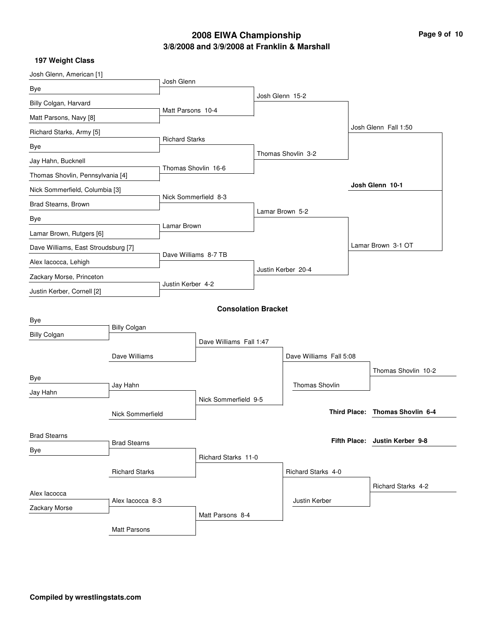### **3/8/2008 and 3/9/2008 at Franklin & Marshall 2008 EIWA Championship Page 9 of 10**

| Josh Glenn, American [1]            |                     |                         |                            |                    |                         |  |                                 |
|-------------------------------------|---------------------|-------------------------|----------------------------|--------------------|-------------------------|--|---------------------------------|
| Bye                                 |                     | Josh Glenn              |                            |                    |                         |  |                                 |
| Billy Colgan, Harvard               |                     |                         |                            | Josh Glenn 15-2    |                         |  |                                 |
| Matt Parsons, Navy [8]              |                     | Matt Parsons 10-4       |                            |                    |                         |  |                                 |
| Richard Starks, Army [5]            |                     |                         |                            |                    |                         |  | Josh Glenn Fall 1:50            |
| Bye                                 |                     | <b>Richard Starks</b>   |                            |                    |                         |  |                                 |
| Jay Hahn, Bucknell                  |                     |                         |                            | Thomas Shovlin 3-2 |                         |  |                                 |
| Thomas Shovlin, Pennsylvania [4]    |                     | Thomas Shovlin 16-6     |                            |                    |                         |  |                                 |
| Nick Sommerfield, Columbia [3]      |                     |                         |                            |                    |                         |  | Josh Glenn 10-1                 |
| Brad Stearns, Brown                 |                     | Nick Sommerfield 8-3    |                            |                    |                         |  |                                 |
| Bye                                 |                     |                         |                            |                    | Lamar Brown 5-2         |  |                                 |
| Lamar Brown, Rutgers [6]            |                     | Lamar Brown             |                            |                    |                         |  |                                 |
| Dave Williams, East Stroudsburg [7] |                     |                         |                            |                    |                         |  | Lamar Brown 3-1 OT              |
| Alex Iacocca, Lehigh                |                     | Dave Williams 8-7 TB    |                            |                    |                         |  |                                 |
| Zackary Morse, Princeton            |                     | Justin Kerber 4-2       |                            | Justin Kerber 20-4 |                         |  |                                 |
| Justin Kerber, Cornell [2]          |                     |                         |                            |                    |                         |  |                                 |
|                                     |                     |                         | <b>Consolation Bracket</b> |                    |                         |  |                                 |
| Bye                                 |                     |                         |                            |                    |                         |  |                                 |
| <b>Billy Colgan</b>                 | <b>Billy Colgan</b> |                         |                            |                    |                         |  |                                 |
|                                     |                     | Dave Williams Fall 1:47 |                            |                    |                         |  |                                 |
|                                     | Dave Williams       |                         |                            |                    | Dave Williams Fall 5:08 |  |                                 |
| Bye                                 |                     |                         |                            |                    |                         |  | Thomas Shovlin 10-2             |
| Jay Hahn                            | Jay Hahn            |                         |                            |                    | <b>Thomas Shovlin</b>   |  |                                 |
|                                     |                     |                         | Nick Sommerfield 9-5       |                    |                         |  | Third Place: Thomas Shovlin 6-4 |
|                                     | Nick Sommerfield    |                         |                            |                    |                         |  |                                 |
| <b>Brad Stearns</b>                 |                     |                         |                            |                    |                         |  | Fifth Place: Justin Kerber 9-8  |
| Bye                                 | <b>Brad Stearns</b> |                         |                            |                    |                         |  |                                 |
|                                     |                     |                         | Richard Starks 11-0        |                    |                         |  |                                 |
| <b>Richard Starks</b>               |                     |                         |                            |                    | Richard Starks 4-0      |  |                                 |
| Alex lacocca                        |                     |                         |                            |                    |                         |  | <b>Richard Starks 4-2</b>       |
| Zackary Morse                       | Alex lacocca 8-3    |                         |                            |                    | Justin Kerber           |  |                                 |
|                                     |                     |                         | Matt Parsons 8-4           |                    |                         |  |                                 |
|                                     | <b>Matt Parsons</b> |                         |                            |                    |                         |  |                                 |